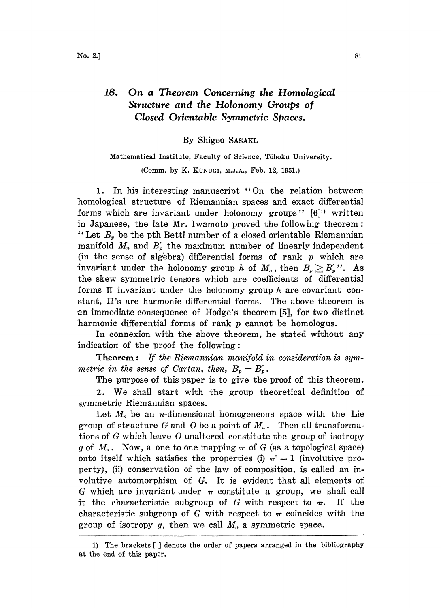## 18. On a Theorem Concerning the Homological Structure and the Holonomy Groups of Closed Orientable Symmetric Spaces.

## By Shigeo SASAKI.

## Mathematical Institute, Faculty of Science, Tôhoku University. (Comm. by K. KUNUGI, M.J.A., Feb. 12, 1951.)

1. In his interesting manuscript "On the relation between homological structure of Riemannian spaces and exact differential forms which are invariant under holonomy groups"  $[6]$ <sup>1)</sup> written in Japanese, the late Mr. Iwamoto proved the following theorem: "Let  $B_p$  be the pth Betti number of a closed orientable Riemannian manifold  $M_n$  and  $B'_p$  the maximum number of linearly independent (in the sense of algebra) differential forms of rank  $p$  which are invariant under the holonomy group h of  $M_n$ , then  $B_p \geq B'_p$ ". As he skew symmetric tensors which are coefficients of differential forms II invariant under the holonomy group  $h$  are covariant constant, II's are harmonic differential forms. The above theorem is an immediate consequence of Hodge's theorem [5], for two distinct harmonic differential forms of rank  $p$  cannot be homologus.

In connexion with the above theorem, he stated without any indication of the proof the following:

Theorem: If the Riemannian manifold in consideration is symmetric in the sense of Cartan, then,  $B_p = B'_p$ .

The purpose of this paper is to give the proof of this theorem.

2. We shall start with the group theoretical definition of symmetric Riemannian spaces.

Let  $M_n$  be an *n*-dimensional homogeneous space with the Lie group of structure G and O be a point of  $M_n$ . Then all transformations of G which leave O unaltered constitute the group of isotropy q of  $M_n$ . Now, a one to one mapping  $\pi$  of G (as a topological space) onto itself which satisfies the properties (i)  $\pi^2 = 1$  (involutive property), (ii) conservation of the law of composition, is called an involutive automorphism of  $G$ . It is evident that all elements of G which are invariant under  $\pi$  constitute a group, we shall call it the characteristic subgroup of G with respect to  $\pi$ . If the characteristic subgroup of G with respect to  $\pi$  coincides with the group of isotropy  $g$ , then we call  $M_n$  a symmetric space.

<sup>1)</sup> The brackets [ ] denote the order of papers arranged in the bibliography at the end of this paper.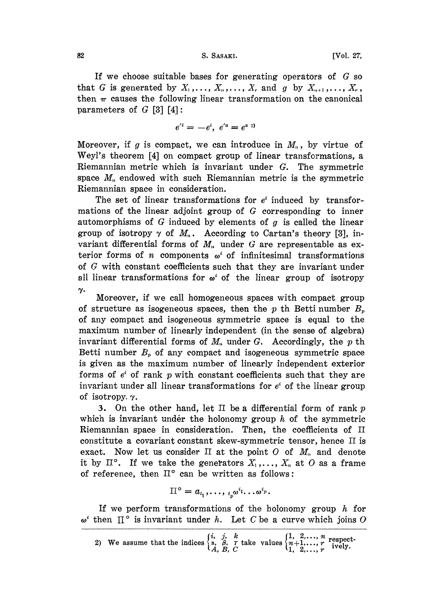If we choose suitable bases for generating operators of  $G$  so that G is generated by  $X_1, \ldots, X_n, \ldots, X_r$  and g by  $X_{n+1}, \ldots, X_r$ , then  $\pi$  causes the following linear transformation on the canonical parameters of  $G$  [3] [4]:

$$
e'^i = -e^i, e'^a = e^{a 2i}
$$

Moreover, if g is compact, we can introduce in  $M_n$ , by virtue of Weyl's theorem [4] on compact group of linear transformations, a Riemannian metric which is invariant under  $G$ . The symmetric space  $M_n$  endowed with such Riemannian metric is the symmetric Riemannian space in consideration.

The set of linear transformations for  $e^i$  induced by transformations of the linear adjoint group of  $G$  corresponding to inner automorphisms of G induced by elements of  $g$  is called the linear group of isotropy  $\gamma$  of  $M_n$ . According to Cartan's theory [3], invariant differential forms of  $M<sub>n</sub>$  under G are representable as exterior forms of *n* components  $\omega^i$  of infinitesimal transformations of  $G$  with constant coefficients such that they are invariant under all linear transformations for  $\omega^i$  of the linear group of isotropy  $\gamma$ .

Moreover, if we call homogeneous spaces with compact group of structure as isogeneous spaces, then the p th Betti number  $B_p$ of any compact and isogeneous symmetric space is equal to the maximum number of linearly independent (in the sense of algebra) invariant differential forms of  $M_n$  under G. Accordingly, the p th Betti number  $B_p$  of any compact and isogeneous symmetric space is given as the maximum number of linearly independent exterior forms of  $e^i$  of rank p with constant coefficients such that they are invariant under all linear transformations for  $e^i$  of the linear group of isotropy.  $\gamma$ .

3. On the other hand, let  $\Pi$  be a differential form of rank p which is invariant under the holonomy group  $h$  of the symmetric Riemannian space in consideration. Then, the coefficients of  $\Pi$ constitute a covariant constant skew-symmetric tensor, hence II is exact. Now let us consider  $\Pi$  at the point  $O$  of  $M_n$  and denote it by  $\Pi^{\circ}$ . If we take the generators  $X_1, \ldots, X_n$  at O as a frame of reference, then  $II^{\circ}$  can be written as follows:

$$
\Pi^{\circ} = a_{i_1}, \ldots, a_p^{\circ} \omega^{i_1} \ldots \omega^{i_p}.
$$

If we perform transformations of the holonomy group  $h$  for  $\omega^i$  then  $\Pi^{\circ}$  is invariant under h. Let C be a curve which joins O

2) We assume that the indices  $\begin{cases} i, j, k \\ \alpha, \beta, r \end{cases}$  rake values  $\begin{cases} 1, 2, ..., n \\ n+1, ..., r \\ 1, 2, ..., r \end{cases}$  respect-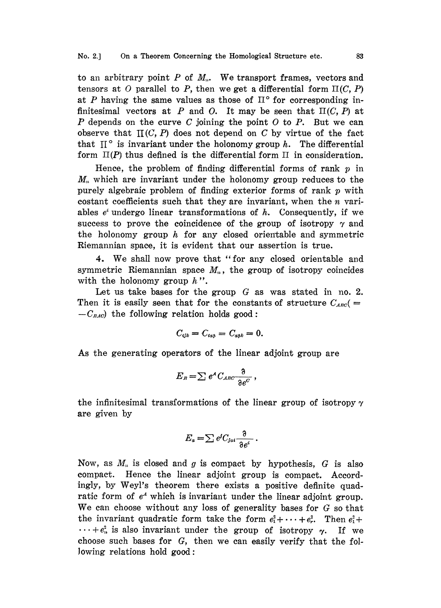to an arbitrary point  $P$  of  $M_n$ . We transport frames, vectors and tensors at O parallel to P, then we get a differential form  $\Pi(C, P)$ at P having the same values as those of  $\mathbb{I}^{\circ}$  for corresponding infinitesimal vectors at P and O. It may be seen that  $\Pi(C, P)$  at  $P$  depends on the curve  $C$  joining the point  $O$  to  $P$ . But we can observe that  $\Pi(C, P)$  does not depend on C by virtue of the fact that  $\mathbb{I}^{\circ}$  is invariant under the holonomy group *h*. The differential form  $\Pi(P)$  thus defined is the differential form  $\Pi$  in consideration.

Hence, the problem of finding differential forms of rank  $p$  in  $M<sub>n</sub>$  which are invariant under the holonomy group reduces to the purely algebraic problem of finding exterior forms of rank  $p$  with costant coefficients such that they are invariant, when the  $n$  variables  $e^i$  undergo linear transformations of  $h$ . Consequently, if we success to prove the coincidence of the group of isotropy  $\gamma$  and the holonomy group  $h$  for any closed orientable and symmetric Riemannian space, it is evident that our assertion is true.

4. We shall now prove that "for any closed orientable and symmetric Riemannian space  $M_n$ , the group of isotropy coincides with the holonomy group  $h$ ".

Let us take bases for the group  $G$  as was stated in no. 2. Then it is easily seen that for the constants of structure  $C_{ABC}$  =  $-C_{EAC}$  the following relation holds good:

$$
C_{ijk}=C_{ia\beta}=C_{a\beta k}=0.
$$

As the generating operators of the linear adjoint group are

$$
E_{\scriptscriptstyle B} \! = \! \sum e^{\scriptscriptstyle A} \, C_{{\scriptscriptstyle A} {\scriptscriptstyle B} {\scriptscriptstyle C}} \! \frac{\eth}{\eth e^{\scriptscriptstyle C}} \, ,
$$

the infinitesimal transformations of the linear group of isotropy  $\gamma$ are given by

$$
E_a = \sum e^j C_{jai} \frac{\partial}{\partial e^i}.
$$

Now, as  $M_n$  is closed and g is compact by hypothesis, G is also compact. Hence the linear adjoint group is compact. Accordingly, by Weyl's theorem there exists a positive definite quadratic form of  $e^4$  which is invariant under the linear adjoint group. We can choose without any loss of generality bases for G so that the invariant quadratic form take the form  $e_1^2 + \cdots + e_r^2$ . Then  $e_1^2 +$  $\cdots +e_n^2$  is also invariant under the group of isotropy  $\gamma$ . If we choose such bases for G, then we can easily verify that the following relations hold good: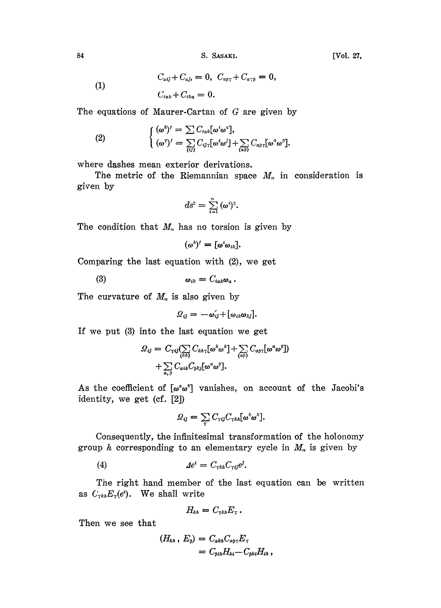84 S. SASAKI. [Vol. 27,

(1) 
$$
C_{aij} + C_{aji} = 0, \ C_{a\beta\gamma} + C_{a\gamma\beta} = 0, C_{iak} + C_{ika} = 0.
$$

The equations of Maurer-Cartan of G are given by

(2) 
$$
\begin{cases} (\omega^k)' = \sum C_{i\alpha k} [\omega^i \omega^a], \\ (\omega^{\tau})' = \sum_{(ij)} C_{ij\tau} [\omega^i \omega^j] + \sum_{(\alpha \beta)} C_{\alpha \beta \tau} [\omega^a \omega^{\beta}]. \end{cases}
$$

where dashes mean exterior derivations.

The metric of the Riemannian space  $M_n$  in consideration is given by

$$
ds^2=\sum_{i=1}^n\,(\omega^i)^2.
$$

The condition that  $M_n$  has no torsion is given by

$$
(\omega^k)'=[\omega^i\omega_{ik}].
$$

Comparing the last equation with (2), we get

 $\omega_{ik} = C_{iak}\omega_a$ .  $(3)$ 

The curvature of  $M_n$  is also given by

$$
Q_{ij} = -\omega'_{ij} + [\omega_{ik}\omega_{kj}].
$$

If we put (3) into the last equation we get

$$
\mathcal{Q}_{ij} = C_{\tau ij} \left( \sum_{\langle kh \rangle} C_{kh\tau} [\omega^k \omega^h] + \sum_{(\mathfrak{a}\beta)} C_{\mathfrak{a}\beta\tau} [\omega^{\mathfrak{a}} \omega^{\beta}] \right) + \sum_{\mathfrak{a}, \beta} C_{\mathfrak{a}ik} C_{\beta kj} [\omega^{\mathfrak{a}} \omega^{\beta}].
$$

As the coefficient of  $[\omega^{\alpha} \omega^{\beta}]$  vanishes, on account of the Jacobi's identity, we get (cf. [2])

$$
Q_{ij} = \sum_{\tau} C_{\tau ij} C_{\tau k h} [\omega^k \omega^k].
$$

Consequently, the infinitesimal transformation of the holonomy group  $h$  corresponding to an elementary cycle in  $M_n$  is given by

$$
(4) \t\t\t Aei = CτkhCτijej.
$$

The right hand member of the last equation can be written as  $C_{\tau k h} E_{\tau}(e^i)$ . We shall write

$$
H_{kh}=C_{\tau k h}E_{\tau}.
$$

Then we see that

$$
(H_{\kappa h}, E_{\beta}) = C_{\alpha k h} C_{\alpha \beta \gamma} E_{\gamma}
$$
  
=  $C_{\beta i h} H_{\kappa i} - C_{\beta k i} H_{i h}$ ,